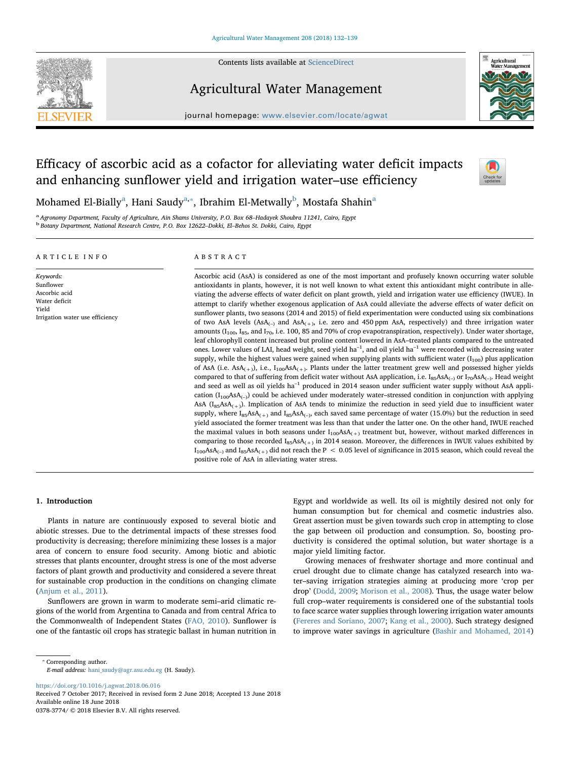

Contents lists available at [ScienceDirect](http://www.sciencedirect.com/science/journal/03783774)

# Agricultural Water Management



journal homepage: [www.elsevier.com/locate/agwat](https://www.elsevier.com/locate/agwat)

# Efficacy of ascorbic acid as a cofactor for alleviating water deficit impacts and enhancing sunflower yield and irrigation water–use efficiency



Moh[a](#page-0-0)med El-Bially $^{\rm a}$ , Hani Saudy $^{\rm a, *},$  I[b](#page-0-2)rahim El-Metwally $^{\rm b}$ , Mostafa Shahin $^{\rm a}$ 

<span id="page-0-2"></span><span id="page-0-0"></span><sup>a</sup> Agronomy Department, Faculty of Agriculture, Ain Shams University, P.O. Box 68–Hadayek Shoubra 11241, Cairo, Egypt<br><sup>b</sup> Botany Department, National Research Centre, P.O. Box 12622–Dokki, El–Behos St. Dokki, Cairo, Egypt

## ARTICLE INFO

Irrigation water use efficiency

Keywords: Sunflower Ascorbic acid Water deficit Yield

## ABSTRACT

Ascorbic acid (AsA) is considered as one of the most important and profusely known occurring water soluble antioxidants in plants, however, it is not well known to what extent this antioxidant might contribute in alleviating the adverse effects of water deficit on plant growth, yield and irrigation water use efficiency (IWUE). In attempt to clarify whether exogenous application of AsA could alleviate the adverse effects of water deficit on sunflower plants, two seasons (2014 and 2015) of field experimentation were conducted using six combinations of two AsA levels  $(AsA_{(-)}$  and  $AsA_{(+)}$ , i.e. zero and 450 ppm AsA, respectively) and three irrigation water amounts  $(I_{100}, I_{85}$ , and  $I_{70}$ , i.e. 100, 85 and 70% of crop evapotranspiration, respectively). Under water shortage, leaf chlorophyll content increased but proline content lowered in AsA–treated plants compared to the untreated ones. Lower values of LAI, head weight, seed yield ha<sup>-1</sup>, and oil yield ha<sup>-1</sup> were recorded with decreasing water supply, while the highest values were gained when supplying plants with sufficient water  $(I_{100})$  plus application of AsA (i.e.  $AsA_{(+)})$ , i.e.,  $I_{100}AsA_{(+)}$ . Plants under the latter treatment grew well and possessed higher yields compared to that of suffering from deficit water without AsA application, i.e. I<sub>85</sub>AsA<sub>(-)</sub> or I<sub>70</sub>AsA<sub>(-)</sub>. Head weight and seed as well as oil yields ha<sup>-1</sup> produced in 2014 season under sufficient water supply without AsA application  $(I_{100}AsA_{(+)})$  could be achieved under moderately water–stressed condition in conjunction with applying AsA ( $I_{85}$ AsA<sub>(+)</sub>). Implication of AsA tends to minimize the reduction in seed yield due to insufficient water supply, where  $I_{85}AsA_{(+)}$  and  $I_{85}AsA_{(-)}$ , each saved same percentage of water (15.0%) but the reduction in seed yield associated the former treatment was less than that under the latter one. On the other hand, IWUE reached the maximal values in both seasons under  $I_{100}$ AsA<sub>(+)</sub> treatment but, however, without marked differences in comparing to those recorded  $I_{85}AsA_{(+)}$  in 2014 season. Moreover, the differences in IWUE values exhibited by  $I_{100}$ AsA<sub>(-)</sub> and  $I_{85}$ AsA<sub>(+)</sub> did not reach the P < 0.05 level of significance in 2015 season, which could reveal the positive role of AsA in alleviating water stress.

# 1. Introduction

Plants in nature are continuously exposed to several biotic and abiotic stresses. Due to the detrimental impacts of these stresses food productivity is decreasing; therefore minimizing these losses is a major area of concern to ensure food security. Among biotic and abiotic stresses that plants encounter, drought stress is one of the most adverse factors of plant growth and productivity and considered a severe threat for sustainable crop production in the conditions on changing climate ([Anjum et al., 2011\)](#page--1-0).

Sunflowers are grown in warm to moderate semi–arid climatic regions of the world from Argentina to Canada and from central Africa to the Commonwealth of Independent States [\(FAO, 2010](#page--1-1)). Sunflower is one of the fantastic oil crops has strategic ballast in human nutrition in

Egypt and worldwide as well. Its oil is mightily desired not only for human consumption but for chemical and cosmetic industries also. Great assertion must be given towards such crop in attempting to close the gap between oil production and consumption. So, boosting productivity is considered the optimal solution, but water shortage is a major yield limiting factor.

Growing menaces of freshwater shortage and more continual and cruel drought due to climate change has catalyzed research into water–saving irrigation strategies aiming at producing more 'crop per drop' [\(Dodd, 2009;](#page--1-2) [Morison et al., 2008](#page--1-3)). Thus, the usage water below full crop–water requirements is considered one of the substantial tools to face scarce water supplies through lowering irrigation water amounts ([Fereres and Soriano, 2007;](#page--1-4) [Kang et al., 2000\)](#page--1-5). Such strategy designed to improve water savings in agriculture [\(Bashir and Mohamed, 2014\)](#page--1-6)

<https://doi.org/10.1016/j.agwat.2018.06.016>

0378-3774/ © 2018 Elsevier B.V. All rights reserved.

<span id="page-0-1"></span><sup>⁎</sup> Corresponding author. E-mail address: [hani\\_saudy@agr.asu.edu.eg](mailto:hani_saudy@agr.asu.edu.eg) (H. Saudy).

Received 7 October 2017; Received in revised form 2 June 2018; Accepted 13 June 2018 Available online 18 June 2018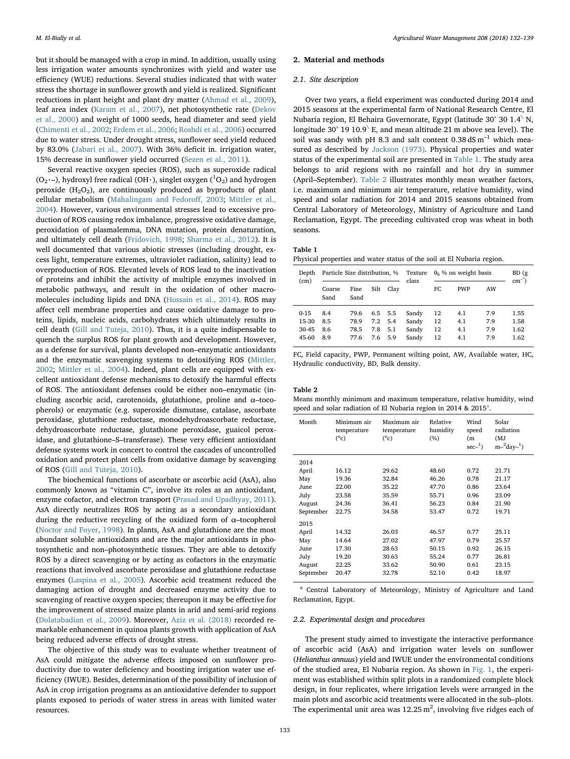but it should be managed with a crop in mind. In addition, usually using less irrigation water amounts synchronizes with yield and water use efficiency (WUE) reductions. Several studies indicated that with water stress the shortage in sunflower growth and yield is realized. Significant reductions in plant height and plant dry matter [\(Ahmad et al., 2009](#page--1-7)), leaf area index [\(Karam et al., 2007](#page--1-8)), net photosynthetic rate [\(Dekov](#page--1-9) [et al., 2000\)](#page--1-9) and weight of 1000 seeds, head diameter and seed yield ([Chimenti et al., 2002](#page--1-10); [Erdem et al., 2006;](#page--1-11) [Roshdi et al., 2006\)](#page--1-12) occurred due to water stress. Under drought stress, sunflower seed yield reduced by 83.0% [\(Jabari et al., 2007\)](#page--1-13). With 36% deficit in. irrigation water, 15% decrease in sunflower yield occurred ([Sezen et al., 2011](#page--1-14)).

Several reactive oxygen species (ROS), such as superoxide radical (O<sub>2</sub> $\cdot$ –), hydroxyl free radical (OH $\cdot$ ), singlet oxygen (<sup>1</sup>O<sub>2</sub>) and hydrogen peroxide  $(H_2O_2)$ , are continuously produced as byproducts of plant cellular metabolism [\(Mahalingam and Fedoro](#page--1-15)ff, 2003; [Mittler et al.,](#page--1-16) [2004\)](#page--1-16). However, various environmental stresses lead to excessive production of ROS causing redox imbalance, progressive oxidative damage, peroxidation of plasmalemma, DNA mutation, protein denaturation, and ultimately cell death ([Fridovich, 1998](#page--1-17); [Sharma et al., 2012\)](#page--1-18). It is well documented that various abiotic stresses (including drought, excess light, temperature extremes, ultraviolet radiation, salinity) lead to overproduction of ROS. Elevated levels of ROS lead to the inactivation of proteins and inhibit the activity of multiple enzymes involved in metabolic pathways, and result in the oxidation of other macromolecules including lipids and DNA [\(Hossain et al., 2014\)](#page--1-19). ROS may affect cell membrane properties and cause oxidative damage to proteins, lipids, nucleic acids, carbohydrates which ultimately results in cell death ([Gill and Tuteja, 2010\)](#page--1-20). Thus, it is a quite indispensable to quench the surplus ROS for plant growth and development. However, as a defense for survival, plants developed non–enzymatic antioxidants and the enzymatic scavenging systems to detoxifying ROS [\(Mittler,](#page--1-21) [2002;](#page--1-21) [Mittler et al., 2004\)](#page--1-16). Indeed, plant cells are equipped with excellent antioxidant defense mechanisms to detoxify the harmful effects of ROS. The antioxidant defenses could be either non–enzymatic (including ascorbic acid, carotenoids, glutathione, proline and α–tocopherols) or enzymatic (e.g. superoxide dismutase, catalase, ascorbate peroxidase, glutathione reductase, monodehydroascorbate reductase, dehydroascorbate reductase, glutathione peroxidase, guaicol peroxidase, and glutathione–S–transferase). These very efficient antioxidant defense systems work in concert to control the cascades of uncontrolled oxidation and protect plant cells from oxidative damage by scavenging of ROS [\(Gill and Tuteja, 2010](#page--1-20)).

The biochemical functions of ascorbate or ascorbic acid (AsA), also commonly known as "vitamin C", involve its roles as an antioxidant, enzyme cofactor, and electron transport ([Prasad and Upadhyay, 2011](#page--1-0)). AsA directly neutralizes ROS by acting as a secondary antioxidant during the reductive recycling of the oxidized form of α–tocopherol ([Noctor and Foyer, 1998](#page--1-22)). In plants, AsA and glutathione are the most abundant soluble antioxidants and are the major antioxidants in photosynthetic and non–photosynthetic tissues. They are able to detoxify ROS by a direct scavenging or by acting as cofactors in the enzymatic reactions that involved ascorbate peroxidase and glutathione reductase enzymes [\(Laspina et al., 2005](#page--1-23)). Ascorbic acid treatment reduced the damaging action of drought and decreased enzyme activity due to scavenging of reactive oxygen species; thereupon it may be effective for the improvement of stressed maize plants in arid and semi-arid regions ([Dolatabadian et al., 2009\)](#page--1-24). Moreover, [Aziz et al. \(2018\)](#page--1-25) recorded remarkable enhancement in quinoa plants growth with application of AsA being reduced adverse effects of drought stress.

The objective of this study was to evaluate whether treatment of AsA could mitigate the adverse effects imposed on sunflower productivity due to water deficiency and boosting irrigation water use efficiency (IWUE). Besides, determination of the possibility of inclusion of AsA in crop irrigation programs as an antioxidative defender to support plants exposed to periods of water stress in areas with limited water resources.

#### 2. Material and methods

#### 2.1. Site description

Over two years, a field experiment was conducted during 2014 and 2015 seasons at the experimental farm of National Research Centre, El Nubaria region, El Behaira Governorate, Egypt (latitude 30° 30 1.4\ N, longitude 30° 19 10.9<sup>\</sup> E, and mean altitude 21 m above sea level). The soil was sandy with pH 8.3 and salt content  $0.38 \text{ dS m}^{-1}$  which measured as described by [Jackson \(1973\)](#page--1-26). Physical properties and water status of the experimental soil are presented in [Table 1.](#page-1-0) The study area belongs to arid regions with no rainfall and hot dry in summer (April–September). [Table 2](#page-1-1) illustrates monthly mean weather factors, i.e. maximum and minimum air temperature, relative humidity, wind speed and solar radiation for 2014 and 2015 seasons obtained from Central Laboratory of Meteorology, Ministry of Agriculture and Land Reclamation, Egypt. The preceding cultivated crop was wheat in both seasons.

#### <span id="page-1-0"></span>Table 1

Physical properties and water status of the soil at El Nubaria region.

| Depth<br>(cm)                | Particle Size distribution, % |                      |                       |            | Texture<br>class        | $\theta_s$ % on weight basis |                   |                   | BD(g)<br>$cm^{-3}$ ) |
|------------------------------|-------------------------------|----------------------|-----------------------|------------|-------------------------|------------------------------|-------------------|-------------------|----------------------|
|                              | Coarse<br>Sand                | Fine<br>Sand         | Silt                  | Clav       |                         | FC                           | <b>PWP</b>        | AW                |                      |
| $0-15$<br>15-30<br>$30 - 45$ | 8.4<br>8.5<br>8.6             | 79.6<br>78.9<br>78.5 | 6.5 5.5<br>7.2<br>7.8 | 5.4<br>5.1 | Sandy<br>Sandy<br>Sandy | 12<br>12<br>12               | 4.1<br>4.1<br>4.1 | 7.9<br>7.9<br>7.9 | 1.55<br>1.58<br>1.62 |
| 45-60                        | 8.9                           | 77.6                 | 7.6                   | 5.9        | Sandy                   | 12                           | 4.1               | 7.9               | 1.62                 |

FC, Field capacity, PWP, Permanent wilting point, AW, Available water, HC, Hydraulic conductivity, BD, Bulk density.

<span id="page-1-1"></span>Table 2

Means monthly minimum and maximum temperature, relative humidity, wind speed [a](#page-1-2)nd solar radiation of El Nubaria region in 2014 & 2015<sup>a</sup>.

| Month     | Minimum air<br>temperature<br>$(^{o}c)$ | Maximum air<br>temperature<br>$(^{\circ}c)$ | Relative<br>humidity<br>(%) | Wind<br>speed<br>(m <sub>1</sub> )<br>$sec-1$ ) | Solar<br>radiation<br>(MJ<br>$m-2day-1)$ |
|-----------|-----------------------------------------|---------------------------------------------|-----------------------------|-------------------------------------------------|------------------------------------------|
| 2014      |                                         |                                             |                             |                                                 |                                          |
| April     | 16.12                                   | 29.62                                       | 48.60                       | 0.72                                            | 21.71                                    |
| May       | 19.36                                   | 32.84                                       | 46.26                       | 0.78                                            | 21.17                                    |
| June      | 22.00                                   | 35.22                                       | 47.70                       | 0.86                                            | 23.64                                    |
| July      | 23.58                                   | 35.59                                       | 55.71                       | 0.96                                            | 23.09                                    |
| August    | 24.36                                   | 36.41                                       | 56.23                       | 0.84                                            | 21.90                                    |
| September | 22.75                                   | 34.58                                       | 53.47                       | 0.72                                            | 19.71                                    |
| 2015      |                                         |                                             |                             |                                                 |                                          |
| April     | 14.32                                   | 26.03                                       | 46.57                       | 0.77                                            | 25.11                                    |
| May       | 14.64                                   | 27.02                                       | 47.97                       | 0.79                                            | 25.57                                    |
| June      | 17.30                                   | 28.63                                       | 50.15                       | 0.92                                            | 26.15                                    |
| July      | 19.20                                   | 30.63                                       | 55.24                       | 0.77                                            | 26.81                                    |
| August    | 22.25                                   | 33.62                                       | 50.90                       | 0.61                                            | 23.15                                    |
| September | 20.47                                   | 32.78                                       | 52.10                       | 0.42                                            | 18.97                                    |

<span id="page-1-2"></span><sup>a</sup> Central Laboratory of Meteorology, Ministry of Agriculture and Land Reclamation, Egypt.

## 2.2. Experimental design and procedures

The present study aimed to investigate the interactive performance of ascorbic acid (AsA) and irrigation water levels on sunflower (Helianthus annuus) yield and IWUE under the environmental conditions of the studied area, El Nubaria region. As shown in [Fig. 1](#page--1-27), the experiment was established within split plots in a randomized complete block design, in four replicates, where irrigation levels were arranged in the main plots and ascorbic acid treatments were allocated in the sub–plots. The experimental unit area was  $12.25 \text{ m}^2$ , involving five ridges each of